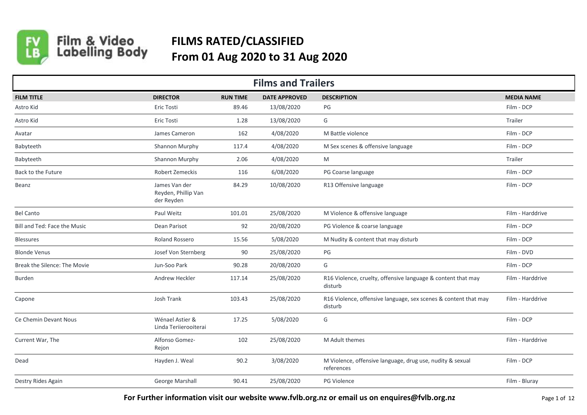

## Film & Video<br>Labelling Body **FILMS RATED/CLASSIFIED From 01 Aug 2020 to 31 Aug 2020**

| <b>Films and Trailers</b>    |                                                    |                 |                      |                                                                            |                   |  |  |  |
|------------------------------|----------------------------------------------------|-----------------|----------------------|----------------------------------------------------------------------------|-------------------|--|--|--|
| <b>FILM TITLE</b>            | <b>DIRECTOR</b>                                    | <b>RUN TIME</b> | <b>DATE APPROVED</b> | <b>DESCRIPTION</b>                                                         | <b>MEDIA NAME</b> |  |  |  |
| Astro Kid                    | Eric Tosti                                         | 89.46           | 13/08/2020           | PG                                                                         | Film - DCP        |  |  |  |
| Astro Kid                    | Eric Tosti                                         | 1.28            | 13/08/2020           | G                                                                          | Trailer           |  |  |  |
| Avatar                       | James Cameron                                      | 162             | 4/08/2020            | M Battle violence                                                          | Film - DCP        |  |  |  |
| Babyteeth                    | Shannon Murphy                                     | 117.4           | 4/08/2020            | M Sex scenes & offensive language                                          | Film - DCP        |  |  |  |
| Babyteeth                    | Shannon Murphy                                     | 2.06            | 4/08/2020            | M                                                                          | Trailer           |  |  |  |
| Back to the Future           | Robert Zemeckis                                    | 116             | 6/08/2020            | PG Coarse language                                                         | Film - DCP        |  |  |  |
| Beanz                        | James Van der<br>Reyden, Phillip Van<br>der Reyden | 84.29           | 10/08/2020           | R13 Offensive language                                                     | Film - DCP        |  |  |  |
| <b>Bel Canto</b>             | Paul Weitz                                         | 101.01          | 25/08/2020           | M Violence & offensive language                                            | Film - Harddrive  |  |  |  |
| Bill and Ted: Face the Music | Dean Parisot                                       | 92              | 20/08/2020           | PG Violence & coarse language                                              | Film - DCP        |  |  |  |
| <b>Blessures</b>             | Roland Rossero                                     | 15.56           | 5/08/2020            | M Nudity & content that may disturb                                        | Film - DCP        |  |  |  |
| <b>Blonde Venus</b>          | Josef Von Sternberg                                | 90              | 25/08/2020           | PG                                                                         | Film - DVD        |  |  |  |
| Break the Silence: The Movie | Jun-Soo Park                                       | 90.28           | 20/08/2020           | G                                                                          | Film - DCP        |  |  |  |
| <b>Burden</b>                | Andrew Heckler                                     | 117.14          | 25/08/2020           | R16 Violence, cruelty, offensive language & content that may<br>disturb    | Film - Harddrive  |  |  |  |
| Capone                       | Josh Trank                                         | 103.43          | 25/08/2020           | R16 Violence, offensive language, sex scenes & content that may<br>disturb | Film - Harddrive  |  |  |  |
| Ce Chemin Devant Nous        | Wénael Astier &<br>Linda Teriierooiterai           | 17.25           | 5/08/2020            | G                                                                          | Film - DCP        |  |  |  |
| Current War, The             | Alfonso Gomez-<br>Rejon                            | 102             | 25/08/2020           | M Adult themes                                                             | Film - Harddrive  |  |  |  |
| Dead                         | Hayden J. Weal                                     | 90.2            | 3/08/2020            | M Violence, offensive language, drug use, nudity & sexual<br>references    | Film - DCP        |  |  |  |
| Destry Rides Again           | George Marshall                                    | 90.41           | 25/08/2020           | PG Violence                                                                | Film - Bluray     |  |  |  |

**For Further information visit our website www.fvlb.org.nz or email us on enquires@fvlb.org.nz** Page 1 of 12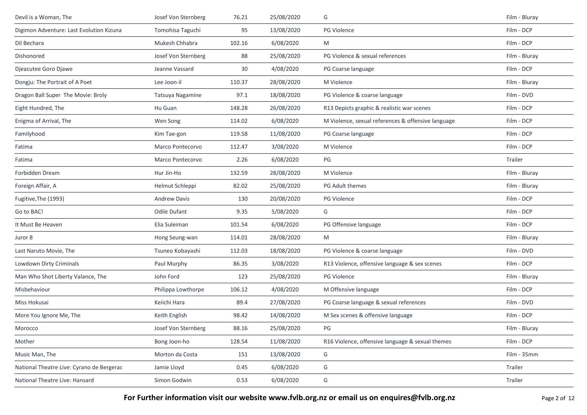| Devil is a Woman, The                     | Josef Von Sternberg | 76.21  | 25/08/2020 | G                                                  | Film - Bluray |
|-------------------------------------------|---------------------|--------|------------|----------------------------------------------------|---------------|
| Digimon Adventure: Last Evolution Kizuna  | Tomohisa Taguchi    | 95     | 13/08/2020 | PG Violence                                        | Film - DCP    |
| Dil Bechara                               | Mukesh Chhabra      | 102.16 | 6/08/2020  | M                                                  | Film - DCP    |
| Dishonored                                | Josef Von Sternberg | 88     | 25/08/2020 | PG Violence & sexual references                    | Film - Bluray |
| Djeacutee Goro Djawe                      | Jeanne Vassard      | 30     | 4/08/2020  | PG Coarse language                                 | Film - DCP    |
| Dongju: The Portrait of A Poet            | Lee Joon-il         | 110.37 | 28/08/2020 | M Violence                                         | Film - Bluray |
| Dragon Ball Super The Movie: Broly        | Tatsuya Nagamine    | 97.1   | 18/08/2020 | PG Violence & coarse language                      | Film - DVD    |
| Eight Hundred, The                        | Hu Guan             | 148.28 | 26/08/2020 | R13 Depicts graphic & realistic war scenes         | Film - DCP    |
| Enigma of Arrival, The                    | Wen Song            | 114.02 | 6/08/2020  | M Violence, sexual references & offensive language | Film - DCP    |
| Familyhood                                | Kim Tae-gon         | 119.58 | 11/08/2020 | PG Coarse language                                 | Film - DCP    |
| Fatima                                    | Marco Pontecorvo    | 112.47 | 3/08/2020  | M Violence                                         | Film - DCP    |
| Fatima                                    | Marco Pontecorvo    | 2.26   | 6/08/2020  | PG                                                 | Trailer       |
| Forbidden Dream                           | Hur Jin-Ho          | 132.59 | 28/08/2020 | M Violence                                         | Film - Bluray |
| Foreign Affair, A                         | Helmut Schleppi     | 82.02  | 25/08/2020 | PG Adult themes                                    | Film - Bluray |
| Fugitive, The (1993)                      | <b>Andrew Davis</b> | 130    | 20/08/2020 | PG Violence                                        | Film - DCP    |
| Go to BAC!                                | <b>Odile Dufant</b> | 9.35   | 5/08/2020  | G                                                  | Film - DCP    |
| It Must Be Heaven                         | Elia Suleiman       | 101.54 | 6/08/2020  | PG Offensive language                              | Film - DCP    |
| Juror 8                                   | Hong Seung-wan      | 114.01 | 28/08/2020 | M                                                  | Film - Bluray |
| Last Naruto Movie, The                    | Tsuneo Kobayashi    | 112.03 | 18/08/2020 | PG Violence & coarse language                      | Film - DVD    |
| Lowdown Dirty Criminals                   | Paul Murphy         | 86.35  | 3/08/2020  | R13 Violence, offensive language & sex scenes      | Film - DCP    |
| Man Who Shot Liberty Valance, The         | John Ford           | 123    | 25/08/2020 | PG Violence                                        | Film - Bluray |
| Misbehaviour                              | Philippa Lowthorpe  | 106.12 | 4/08/2020  | M Offensive language                               | Film - DCP    |
| Miss Hokusai                              | Keiichi Hara        | 89.4   | 27/08/2020 | PG Coarse language & sexual references             | Film - DVD    |
| More You Ignore Me, The                   | Keith English       | 98.42  | 14/08/2020 | M Sex scenes & offensive language                  | Film - DCP    |
| Morocco                                   | Josef Von Sternberg | 88.16  | 25/08/2020 | PG                                                 | Film - Bluray |
| Mother                                    | Bong Joon-ho        | 128.54 | 11/08/2020 | R16 Violence, offensive language & sexual themes   | Film - DCP    |
| Music Man, The                            | Morton da Costa     | 151    | 13/08/2020 | G                                                  | Film - 35mm   |
| National Theatre Live: Cyrano de Bergerac | Jamie Lloyd         | 0.45   | 6/08/2020  | G                                                  | Trailer       |
| National Theatre Live: Hansard            | Simon Godwin        | 0.53   | 6/08/2020  | G                                                  | Trailer       |

For Further information visit our website www.fvlb.org.nz or email us on enquires@fvlb.org.nz<br>Page 2 of 12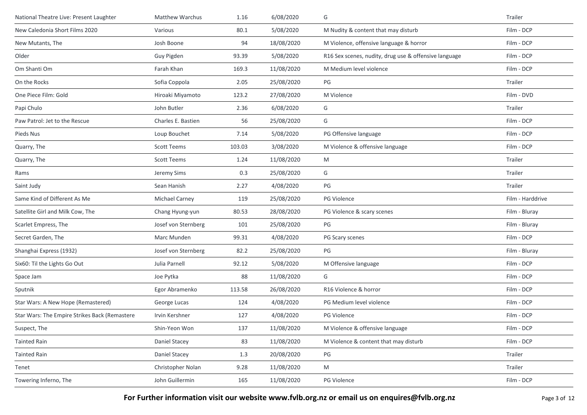| National Theatre Live: Present Laughter       | Matthew Warchus       | 1.16   | 6/08/2020  | G                                                     | Trailer          |
|-----------------------------------------------|-----------------------|--------|------------|-------------------------------------------------------|------------------|
| New Caledonia Short Films 2020                | Various               | 80.1   | 5/08/2020  | M Nudity & content that may disturb                   | Film - DCP       |
| New Mutants, The                              | Josh Boone            | 94     | 18/08/2020 | M Violence, offensive language & horror               | Film - DCP       |
| Older                                         | Guy Pigden            | 93.39  | 5/08/2020  | R16 Sex scenes, nudity, drug use & offensive language | Film - DCP       |
| Om Shanti Om                                  | Farah Khan            | 169.3  | 11/08/2020 | M Medium level violence                               | Film - DCP       |
| On the Rocks                                  | Sofia Coppola         | 2.05   | 25/08/2020 | PG                                                    | Trailer          |
| One Piece Film: Gold                          | Hiroaki Miyamoto      | 123.2  | 27/08/2020 | M Violence                                            | Film - DVD       |
| Papi Chulo                                    | John Butler           | 2.36   | 6/08/2020  | G                                                     | Trailer          |
| Paw Patrol: Jet to the Rescue                 | Charles E. Bastien    | 56     | 25/08/2020 | G                                                     | Film - DCP       |
| Pieds Nus                                     | Loup Bouchet          | 7.14   | 5/08/2020  | PG Offensive language                                 | Film - DCP       |
| Quarry, The                                   | <b>Scott Teems</b>    | 103.03 | 3/08/2020  | M Violence & offensive language                       | Film - DCP       |
| Quarry, The                                   | <b>Scott Teems</b>    | 1.24   | 11/08/2020 | M                                                     | Trailer          |
| Rams                                          | Jeremy Sims           | 0.3    | 25/08/2020 | G                                                     | Trailer          |
| Saint Judy                                    | Sean Hanish           | 2.27   | 4/08/2020  | PG                                                    | Trailer          |
| Same Kind of Different As Me                  | Michael Carney        | 119    | 25/08/2020 | PG Violence                                           | Film - Harddrive |
| Satellite Girl and Milk Cow, The              | Chang Hyung-yun       | 80.53  | 28/08/2020 | PG Violence & scary scenes                            | Film - Bluray    |
| Scarlet Empress, The                          | Josef von Sternberg   | 101    | 25/08/2020 | PG                                                    | Film - Bluray    |
| Secret Garden, The                            | Marc Munden           | 99.31  | 4/08/2020  | PG Scary scenes                                       | Film - DCP       |
| Shanghai Express (1932)                       | Josef von Sternberg   | 82.2   | 25/08/2020 | PG                                                    | Film - Bluray    |
| Six60: Til the Lights Go Out                  | Julia Parnell         | 92.12  | 5/08/2020  | M Offensive language                                  | Film - DCP       |
| Space Jam                                     | Joe Pytka             | 88     | 11/08/2020 | G                                                     | Film - DCP       |
| Sputnik                                       | Egor Abramenko        | 113.58 | 26/08/2020 | R16 Violence & horror                                 | Film - DCP       |
| Star Wars: A New Hope (Remastered)            | George Lucas          | 124    | 4/08/2020  | PG Medium level violence                              | Film - DCP       |
| Star Wars: The Empire Strikes Back (Remastere | <b>Irvin Kershner</b> | 127    | 4/08/2020  | PG Violence                                           | Film - DCP       |
| Suspect, The                                  | Shin-Yeon Won         | 137    | 11/08/2020 | M Violence & offensive language                       | Film - DCP       |
| Tainted Rain                                  | Daniel Stacey         | 83     | 11/08/2020 | M Violence & content that may disturb                 | Film - DCP       |
| Tainted Rain                                  | Daniel Stacey         | 1.3    | 20/08/2020 | PG                                                    | Trailer          |
| Tenet                                         | Christopher Nolan     | 9.28   | 11/08/2020 | M                                                     | Trailer          |
| Towering Inferno, The                         | John Guillermin       | 165    | 11/08/2020 | PG Violence                                           | Film - DCP       |

**For Further information visit our website www.fvlb.org.nz or email us on enquires@fvlb.org.nz** Page 3 of 12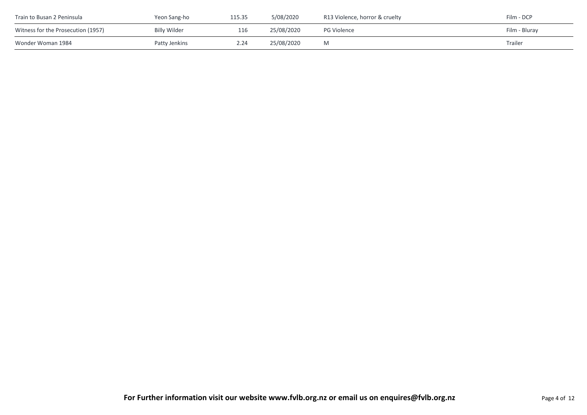| Train to Busan 2 Peninsula         | Yeon Sang-ho  | 115.35 | 5/08/2020  | R13 Violence, horror & cruelty | Film - DCP     |
|------------------------------------|---------------|--------|------------|--------------------------------|----------------|
| Witness for the Prosecution (1957) | Billy Wilder  | 116    | 25/08/2020 | <b>PG Violence</b>             | Film - Bluray  |
| Wonder Woman 1984                  | Patty Jenkins | 2.24   | 25/08/2020 | M                              | <b>Trailer</b> |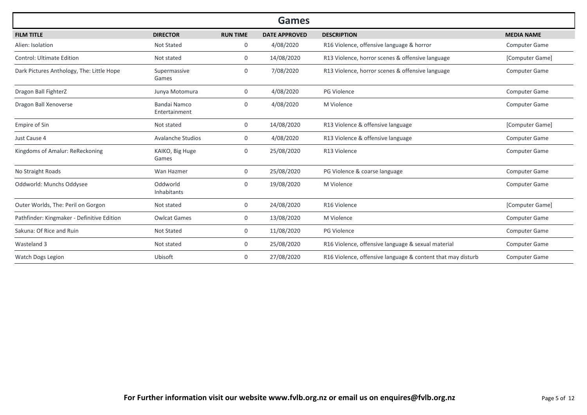|                                            |                               |                 | <b>Games</b>         |                                                             |                      |
|--------------------------------------------|-------------------------------|-----------------|----------------------|-------------------------------------------------------------|----------------------|
| <b>FILM TITLE</b>                          | <b>DIRECTOR</b>               | <b>RUN TIME</b> | <b>DATE APPROVED</b> | <b>DESCRIPTION</b>                                          | <b>MEDIA NAME</b>    |
| Alien: Isolation                           | <b>Not Stated</b>             | 0               | 4/08/2020            | R16 Violence, offensive language & horror                   | <b>Computer Game</b> |
| <b>Control: Ultimate Edition</b>           | Not stated                    | $\mathbf{0}$    | 14/08/2020           | R13 Violence, horror scenes & offensive language            | [Computer Game]      |
| Dark Pictures Anthology, The: Little Hope  | Supermassive<br>Games         | 0               | 7/08/2020            | R13 Violence, horror scenes & offensive language            | Computer Game        |
| Dragon Ball FighterZ                       | Junya Motomura                | 0               | 4/08/2020            | <b>PG Violence</b>                                          | <b>Computer Game</b> |
| Dragon Ball Xenoverse                      | Bandai Namco<br>Entertainment | 0               | 4/08/2020            | M Violence                                                  | <b>Computer Game</b> |
| Empire of Sin                              | Not stated                    | 0               | 14/08/2020           | R13 Violence & offensive language                           | [Computer Game]      |
| Just Cause 4                               | <b>Avalanche Studios</b>      | $\mathbf{0}$    | 4/08/2020            | R13 Violence & offensive language                           | Computer Game        |
| Kingdoms of Amalur: ReReckoning            | KAIKO, Big Huge<br>Games      | 0               | 25/08/2020           | R13 Violence                                                | Computer Game        |
| No Straight Roads                          | Wan Hazmer                    | 0               | 25/08/2020           | PG Violence & coarse language                               | Computer Game        |
| Oddworld: Munchs Oddysee                   | Oddworld<br>Inhabitants       | $\mathbf{0}$    | 19/08/2020           | M Violence                                                  | <b>Computer Game</b> |
| Outer Worlds, The: Peril on Gorgon         | Not stated                    | 0               | 24/08/2020           | R16 Violence                                                | [Computer Game]      |
| Pathfinder: Kingmaker - Definitive Edition | <b>Owlcat Games</b>           | $\mathbf{0}$    | 13/08/2020           | M Violence                                                  | <b>Computer Game</b> |
| Sakuna: Of Rice and Ruin                   | Not Stated                    | 0               | 11/08/2020           | PG Violence                                                 | Computer Game        |
| Wasteland 3                                | Not stated                    | $\mathbf{0}$    | 25/08/2020           | R16 Violence, offensive language & sexual material          | Computer Game        |
| Watch Dogs Legion                          | Ubisoft                       | 0               | 27/08/2020           | R16 Violence, offensive language & content that may disturb | <b>Computer Game</b> |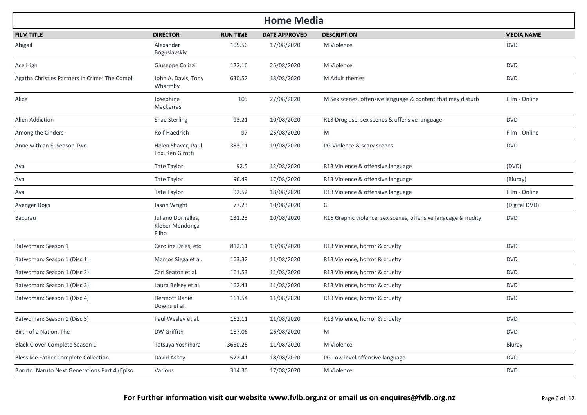| <b>Home Media</b>                             |                                                |                 |                      |                                                               |                   |  |  |  |
|-----------------------------------------------|------------------------------------------------|-----------------|----------------------|---------------------------------------------------------------|-------------------|--|--|--|
| <b>FILM TITLE</b>                             | <b>DIRECTOR</b>                                | <b>RUN TIME</b> | <b>DATE APPROVED</b> | <b>DESCRIPTION</b>                                            | <b>MEDIA NAME</b> |  |  |  |
| Abigail                                       | Alexander<br>Boguslavskiy                      | 105.56          | 17/08/2020           | M Violence                                                    | <b>DVD</b>        |  |  |  |
| Ace High                                      | Giuseppe Colizzi                               | 122.16          | 25/08/2020           | M Violence                                                    | <b>DVD</b>        |  |  |  |
| Agatha Christies Partners in Crime: The Compl | John A. Davis, Tony<br>Wharmby                 | 630.52          | 18/08/2020           | M Adult themes                                                | <b>DVD</b>        |  |  |  |
| Alice                                         | Josephine<br>Mackerras                         | 105             | 27/08/2020           | M Sex scenes, offensive language & content that may disturb   | Film - Online     |  |  |  |
| Alien Addiction                               | Shae Sterling                                  | 93.21           | 10/08/2020           | R13 Drug use, sex scenes & offensive language                 | <b>DVD</b>        |  |  |  |
| Among the Cinders                             | Rolf Haedrich                                  | 97              | 25/08/2020           | M                                                             | Film - Online     |  |  |  |
| Anne with an E: Season Two                    | Helen Shaver, Paul<br>Fox, Ken Girotti         | 353.11          | 19/08/2020           | PG Violence & scary scenes                                    | <b>DVD</b>        |  |  |  |
| Ava                                           | Tate Taylor                                    | 92.5            | 12/08/2020           | R13 Violence & offensive language                             | (DVD)             |  |  |  |
| Ava                                           | Tate Taylor                                    | 96.49           | 17/08/2020           | R13 Violence & offensive language                             | (Bluray)          |  |  |  |
| Ava                                           | Tate Taylor                                    | 92.52           | 18/08/2020           | R13 Violence & offensive language                             | Film - Online     |  |  |  |
| Avenger Dogs                                  | Jason Wright                                   | 77.23           | 10/08/2020           | G                                                             | (Digital DVD)     |  |  |  |
| <b>Bacurau</b>                                | Juliano Dornelles,<br>Kleber Mendonça<br>Filho | 131.23          | 10/08/2020           | R16 Graphic violence, sex scenes, offensive language & nudity | <b>DVD</b>        |  |  |  |
| Batwoman: Season 1                            | Caroline Dries, etc                            | 812.11          | 13/08/2020           | R13 Violence, horror & cruelty                                | <b>DVD</b>        |  |  |  |
| Batwoman: Season 1 (Disc 1)                   | Marcos Siega et al.                            | 163.32          | 11/08/2020           | R13 Violence, horror & cruelty                                | <b>DVD</b>        |  |  |  |
| Batwoman: Season 1 (Disc 2)                   | Carl Seaton et al.                             | 161.53          | 11/08/2020           | R13 Violence, horror & cruelty                                | <b>DVD</b>        |  |  |  |
| Batwoman: Season 1 (Disc 3)                   | Laura Belsey et al.                            | 162.41          | 11/08/2020           | R13 Violence, horror & cruelty                                | <b>DVD</b>        |  |  |  |
| Batwoman: Season 1 (Disc 4)                   | <b>Dermott Daniel</b><br>Downs et al.          | 161.54          | 11/08/2020           | R13 Violence, horror & cruelty                                | <b>DVD</b>        |  |  |  |
| Batwoman: Season 1 (Disc 5)                   | Paul Wesley et al.                             | 162.11          | 11/08/2020           | R13 Violence, horror & cruelty                                | <b>DVD</b>        |  |  |  |
| Birth of a Nation, The                        | DW Griffith                                    | 187.06          | 26/08/2020           | M                                                             | <b>DVD</b>        |  |  |  |
| Black Clover Complete Season 1                | Tatsuya Yoshihara                              | 3650.25         | 11/08/2020           | M Violence                                                    | Bluray            |  |  |  |
| <b>Bless Me Father Complete Collection</b>    | David Askey                                    | 522.41          | 18/08/2020           | PG Low level offensive language                               | <b>DVD</b>        |  |  |  |
| Boruto: Naruto Next Generations Part 4 (Episo | Various                                        | 314.36          | 17/08/2020           | M Violence                                                    | <b>DVD</b>        |  |  |  |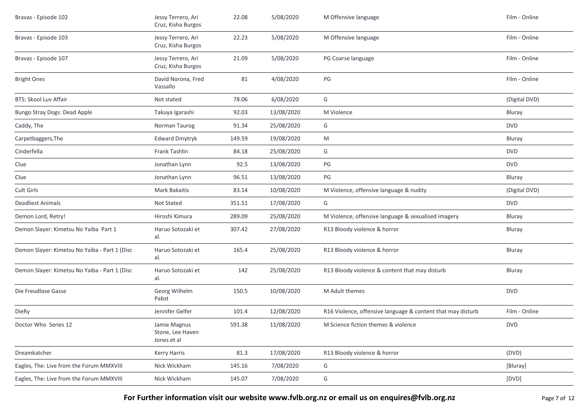| Bravas - Episode 102                          | Jessy Terrero, Ari<br>Cruz, Kisha Burgos        | 22.08  | 5/08/2020  | M Offensive language                                        | Film - Online |
|-----------------------------------------------|-------------------------------------------------|--------|------------|-------------------------------------------------------------|---------------|
| Bravas - Episode 103                          | Jessy Terrero, Ari<br>Cruz, Kisha Burgos        | 22.23  | 5/08/2020  | M Offensive language                                        | Film - Online |
| Bravas - Episode 107                          | Jessy Terrero, Ari<br>Cruz, Kisha Burgos        | 21.09  | 5/08/2020  | PG Coarse language                                          | Film - Online |
| <b>Bright Ones</b>                            | David Norona, Fred<br>Vassallo                  | 81     | 4/08/2020  | PG                                                          | Film - Online |
| <b>BTS: Skool Luv Affair</b>                  | Not stated                                      | 78.06  | 6/08/2020  | G                                                           | (Digital DVD) |
| Bungo Stray Dogs: Dead Apple                  | Takuya Igarashi                                 | 92.03  | 13/08/2020 | M Violence                                                  | Bluray        |
| Caddy, The                                    | Norman Taurog                                   | 91.34  | 25/08/2020 | G                                                           | <b>DVD</b>    |
| Carpetbaggers, The                            | <b>Edward Dmytryk</b>                           | 149.59 | 19/08/2020 | M                                                           | Bluray        |
| Cinderfella                                   | Frank Tashlin                                   | 84.18  | 25/08/2020 | G                                                           | <b>DVD</b>    |
| Clue                                          | Jonathan Lynn                                   | 92.5   | 13/08/2020 | PG                                                          | <b>DVD</b>    |
| Clue                                          | Jonathan Lynn                                   | 96.51  | 13/08/2020 | PG                                                          | Bluray        |
| Cult Girls                                    | <b>Mark Bakaitis</b>                            | 83.14  | 10/08/2020 | M Violence, offensive language & nudity                     | (Digital DVD) |
| <b>Deadliest Animals</b>                      | Not Stated                                      | 351.51 | 17/08/2020 | G                                                           | <b>DVD</b>    |
| Demon Lord, Retry!                            | Hiroshi Kimura                                  | 289.09 | 25/08/2020 | M Violence, offensive language & sexualised imagery         | Bluray        |
| Demon Slayer: Kimetsu No Yaiba Part 1         | Haruo Sotozaki et<br>al.                        | 307.42 | 27/08/2020 | R13 Bloody violence & horror                                | Bluray        |
| Demon Slayer: Kimetsu No Yaiba - Part 1 (Disc | Haruo Sotozaki et<br>al.                        | 165.4  | 25/08/2020 | R13 Bloody violence & horror                                | Bluray        |
| Demon Slayer: Kimetsu No Yaiba - Part 1 (Disc | Haruo Sotozaki et<br>al.                        | 142    | 25/08/2020 | R13 Bloody violence & content that may disturb              | Bluray        |
| Die Freudlose Gasse                           | Georg Wilhelm<br>Pabst                          | 150.5  | 10/08/2020 | M Adult themes                                              | <b>DVD</b>    |
| <b>DieRy</b>                                  | Jennifer Gelfer                                 | 101.4  | 12/08/2020 | R16 Violence, offensive language & content that may disturb | Film - Online |
| Doctor Who Series 12                          | Jamie Magnus<br>Stone, Lee Haven<br>Jones et al | 591.38 | 11/08/2020 | M Science fiction themes & violence                         | <b>DVD</b>    |
| Dreamkatcher                                  | Kerry Harris                                    | 81.3   | 17/08/2020 | R13 Bloody violence & horror                                | (DVD)         |
| Eagles, The: Live from the Forum MMXVIII      | Nick Wickham                                    | 145.16 | 7/08/2020  | G                                                           | [Bluray]      |
| Eagles, The: Live from the Forum MMXVIII      | Nick Wickham                                    | 145.07 | 7/08/2020  | G                                                           | [DVD]         |

**For Further information visit our website www.fvlb.org.nz or email us on enquires@fvlb.org.nz** Page 7 of 12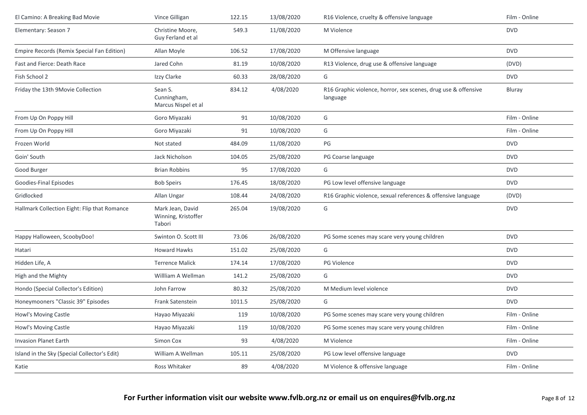| El Camino: A Breaking Bad Movie              | Vince Gilligan                                    | 122.15 | 13/08/2020 | R16 Violence, cruelty & offensive language                                 | Film - Online |
|----------------------------------------------|---------------------------------------------------|--------|------------|----------------------------------------------------------------------------|---------------|
| Elementary: Season 7                         | Christine Moore,<br>Guy Ferland et al             | 549.3  | 11/08/2020 | M Violence                                                                 | <b>DVD</b>    |
| Empire Records (Remix Special Fan Edition)   | Allan Moyle                                       | 106.52 | 17/08/2020 | M Offensive language                                                       | <b>DVD</b>    |
| Fast and Fierce: Death Race                  | Jared Cohn                                        | 81.19  | 10/08/2020 | R13 Violence, drug use & offensive language                                | (DVD)         |
| Fish School 2                                | Izzy Clarke                                       | 60.33  | 28/08/2020 | G                                                                          | <b>DVD</b>    |
| Friday the 13th 9Movie Collection            | Sean S.<br>Cunningham,<br>Marcus Nispel et al     | 834.12 | 4/08/2020  | R16 Graphic violence, horror, sex scenes, drug use & offensive<br>language | Bluray        |
| From Up On Poppy Hill                        | Goro Miyazaki                                     | 91     | 10/08/2020 | G                                                                          | Film - Online |
| From Up On Poppy Hill                        | Goro Miyazaki                                     | 91     | 10/08/2020 | G                                                                          | Film - Online |
| Frozen World                                 | Not stated                                        | 484.09 | 11/08/2020 | PG                                                                         | <b>DVD</b>    |
| Goin' South                                  | Jack Nicholson                                    | 104.05 | 25/08/2020 | PG Coarse language                                                         | <b>DVD</b>    |
| Good Burger                                  | <b>Brian Robbins</b>                              | 95     | 17/08/2020 | G                                                                          | <b>DVD</b>    |
| Goodies-Final Episodes                       | <b>Bob Speirs</b>                                 | 176.45 | 18/08/2020 | PG Low level offensive language                                            | <b>DVD</b>    |
| Gridlocked                                   | Allan Ungar                                       | 108.44 | 24/08/2020 | R16 Graphic violence, sexual references & offensive language               | (DVD)         |
| Hallmark Collection Eight: Flip that Romance | Mark Jean, David<br>Winning, Kristoffer<br>Tabori | 265.04 | 19/08/2020 | G                                                                          | <b>DVD</b>    |
| Happy Halloween, ScoobyDoo!                  | Swinton O. Scott III                              | 73.06  | 26/08/2020 | PG Some scenes may scare very young children                               | <b>DVD</b>    |
| Hatari                                       | <b>Howard Hawks</b>                               | 151.02 | 25/08/2020 | G                                                                          | <b>DVD</b>    |
| Hidden Life, A                               | <b>Terrence Malick</b>                            | 174.14 | 17/08/2020 | PG Violence                                                                | <b>DVD</b>    |
| High and the Mighty                          | Willliam A Wellman                                | 141.2  | 25/08/2020 | G                                                                          | <b>DVD</b>    |
| Hondo (Special Collector's Edition)          | John Farrow                                       | 80.32  | 25/08/2020 | M Medium level violence                                                    | <b>DVD</b>    |
| Honeymooners "Classic 39" Episodes           | Frank Satenstein                                  | 1011.5 | 25/08/2020 | G                                                                          | <b>DVD</b>    |
| Howl's Moving Castle                         | Hayao Miyazaki                                    | 119    | 10/08/2020 | PG Some scenes may scare very young children                               | Film - Online |
| Howl's Moving Castle                         | Hayao Miyazaki                                    | 119    | 10/08/2020 | PG Some scenes may scare very young children                               | Film - Online |
| <b>Invasion Planet Earth</b>                 | Simon Cox                                         | 93     | 4/08/2020  | M Violence                                                                 | Film - Online |
| Island in the Sky (Special Collector's Edit) | William A.Wellman                                 | 105.11 | 25/08/2020 | PG Low level offensive language                                            | <b>DVD</b>    |
| Katie                                        | Ross Whitaker                                     | 89     | 4/08/2020  | M Violence & offensive language                                            | Film - Online |
|                                              |                                                   |        |            |                                                                            |               |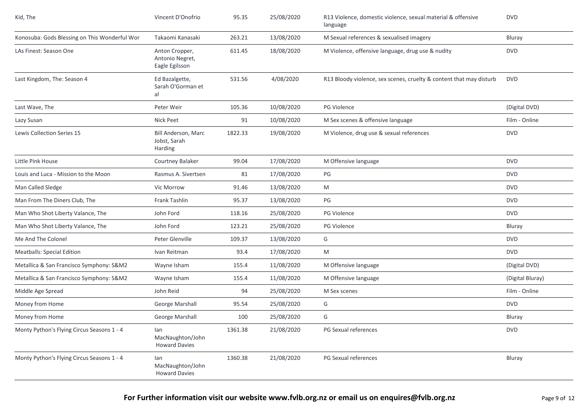| Kid, The                                      | Vincent D'Onofrio                                   | 95.35   | 25/08/2020 | R13 Violence, domestic violence, sexual material & offensive<br>language | <b>DVD</b>       |
|-----------------------------------------------|-----------------------------------------------------|---------|------------|--------------------------------------------------------------------------|------------------|
| Konosuba: Gods Blessing on This Wonderful Wor | Takaomi Kanasaki                                    | 263.21  | 13/08/2020 | M Sexual references & sexualised imagery                                 | Bluray           |
| LAs Finest: Season One                        | Anton Cropper,<br>Antonio Negret,<br>Eagle Egilsson | 611.45  | 18/08/2020 | M Violence, offensive language, drug use & nudity                        | <b>DVD</b>       |
| Last Kingdom, The: Season 4                   | Ed Bazalgette,<br>Sarah O'Gorman et<br>al           | 531.56  | 4/08/2020  | R13 Bloody violence, sex scenes, cruelty & content that may disturb      | <b>DVD</b>       |
| Last Wave, The                                | Peter Weir                                          | 105.36  | 10/08/2020 | PG Violence                                                              | (Digital DVD)    |
| Lazy Susan                                    | <b>Nick Peet</b>                                    | 91      | 10/08/2020 | M Sex scenes & offensive language                                        | Film - Online    |
| Lewis Collection Series 15                    | Bill Anderson, Marc<br>Jobst, Sarah<br>Harding      | 1822.33 | 19/08/2020 | M Violence, drug use & sexual references                                 | <b>DVD</b>       |
| Little Pink House                             | Courtney Balaker                                    | 99.04   | 17/08/2020 | M Offensive language                                                     | <b>DVD</b>       |
| Louis and Luca - Mission to the Moon          | Rasmus A. Sivertsen                                 | 81      | 17/08/2020 | PG                                                                       | <b>DVD</b>       |
| Man Called Sledge                             | Vic Morrow                                          | 91.46   | 13/08/2020 | M                                                                        | <b>DVD</b>       |
| Man From The Diners Club, The                 | Frank Tashlin                                       | 95.37   | 13/08/2020 | PG                                                                       | <b>DVD</b>       |
| Man Who Shot Liberty Valance, The             | John Ford                                           | 118.16  | 25/08/2020 | PG Violence                                                              | <b>DVD</b>       |
| Man Who Shot Liberty Valance, The             | John Ford                                           | 123.21  | 25/08/2020 | PG Violence                                                              | Bluray           |
| Me And The Colonel                            | Peter Glenville                                     | 109.37  | 13/08/2020 | G                                                                        | <b>DVD</b>       |
| <b>Meatballs: Special Edition</b>             | Ivan Reitman                                        | 93.4    | 17/08/2020 | M                                                                        | <b>DVD</b>       |
| Metallica & San Francisco Symphony: S&M2      | Wayne Isham                                         | 155.4   | 11/08/2020 | M Offensive language                                                     | (Digital DVD)    |
| Metallica & San Francisco Symphony: S&M2      | Wayne Isham                                         | 155.4   | 11/08/2020 | M Offensive language                                                     | (Digital Bluray) |
| Middle Age Spread                             | John Reid                                           | 94      | 25/08/2020 | M Sex scenes                                                             | Film - Online    |
| Money from Home                               | George Marshall                                     | 95.54   | 25/08/2020 | G                                                                        | <b>DVD</b>       |
| Money from Home                               | George Marshall                                     | 100     | 25/08/2020 | G                                                                        | Bluray           |
| Monty Python's Flying Circus Seasons 1 - 4    | lan<br>MacNaughton/John<br><b>Howard Davies</b>     | 1361.38 | 21/08/2020 | PG Sexual references                                                     | <b>DVD</b>       |
| Monty Python's Flying Circus Seasons 1 - 4    | lan<br>MacNaughton/John<br><b>Howard Davies</b>     | 1360.38 | 21/08/2020 | PG Sexual references                                                     | Bluray           |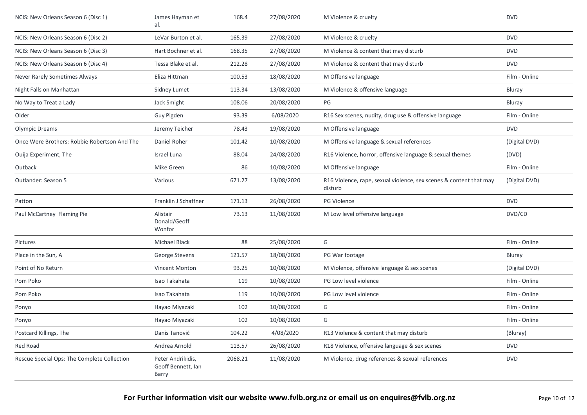| NCIS: New Orleans Season 6 (Disc 1)          | James Hayman et<br>al.                           | 168.4   | 27/08/2020 | M Violence & cruelty                                                          | <b>DVD</b>    |
|----------------------------------------------|--------------------------------------------------|---------|------------|-------------------------------------------------------------------------------|---------------|
| NCIS: New Orleans Season 6 (Disc 2)          | LeVar Burton et al.                              | 165.39  | 27/08/2020 | M Violence & cruelty                                                          | <b>DVD</b>    |
| NCIS: New Orleans Season 6 (Disc 3)          | Hart Bochner et al.                              | 168.35  | 27/08/2020 | M Violence & content that may disturb                                         | <b>DVD</b>    |
| NCIS: New Orleans Season 6 (Disc 4)          | Tessa Blake et al.                               | 212.28  | 27/08/2020 | M Violence & content that may disturb                                         | <b>DVD</b>    |
| Never Rarely Sometimes Always                | Eliza Hittman                                    | 100.53  | 18/08/2020 | M Offensive language                                                          | Film - Online |
| Night Falls on Manhattan                     | Sidney Lumet                                     | 113.34  | 13/08/2020 | M Violence & offensive language                                               | Bluray        |
| No Way to Treat a Lady                       | Jack Smight                                      | 108.06  | 20/08/2020 | PG                                                                            | Bluray        |
| Older                                        | Guy Pigden                                       | 93.39   | 6/08/2020  | R16 Sex scenes, nudity, drug use & offensive language                         | Film - Online |
| <b>Olympic Dreams</b>                        | Jeremy Teicher                                   | 78.43   | 19/08/2020 | M Offensive language                                                          | <b>DVD</b>    |
| Once Were Brothers: Robbie Robertson And The | Daniel Roher                                     | 101.42  | 10/08/2020 | M Offensive language & sexual references                                      | (Digital DVD) |
| Ouija Experiment, The                        | Israel Luna                                      | 88.04   | 24/08/2020 | R16 Violence, horror, offensive language & sexual themes                      | (DVD)         |
| Outback                                      | Mike Green                                       | 86      | 10/08/2020 | M Offensive language                                                          | Film - Online |
| Outlander: Season 5                          | Various                                          | 671.27  | 13/08/2020 | R16 Violence, rape, sexual violence, sex scenes & content that may<br>disturb | (Digital DVD) |
| Patton                                       | Franklin J Schaffner                             | 171.13  | 26/08/2020 | <b>PG Violence</b>                                                            | <b>DVD</b>    |
| Paul McCartney Flaming Pie                   | Alistair<br>Donald/Geoff<br>Wonfor               | 73.13   | 11/08/2020 | M Low level offensive language                                                | DVD/CD        |
| Pictures                                     | Michael Black                                    | 88      | 25/08/2020 | G                                                                             | Film - Online |
| Place in the Sun, A                          | George Stevens                                   | 121.57  | 18/08/2020 | PG War footage                                                                | Bluray        |
| Point of No Return                           | <b>Vincent Monton</b>                            | 93.25   | 10/08/2020 | M Violence, offensive language & sex scenes                                   | (Digital DVD) |
| Pom Poko                                     | Isao Takahata                                    | 119     | 10/08/2020 | PG Low level violence                                                         | Film - Online |
| Pom Poko                                     | Isao Takahata                                    | 119     | 10/08/2020 | PG Low level violence                                                         | Film - Online |
| Ponyo                                        | Hayao Miyazaki                                   | 102     | 10/08/2020 | G                                                                             | Film - Online |
| Ponyo                                        | Hayao Miyazaki                                   | 102     | 10/08/2020 | G                                                                             | Film - Online |
| Postcard Killings, The                       | Danis Tanović                                    | 104.22  | 4/08/2020  | R13 Violence & content that may disturb                                       | (Bluray)      |
| Red Road                                     | Andrea Arnold                                    | 113.57  | 26/08/2020 | R18 Violence, offensive language & sex scenes                                 | <b>DVD</b>    |
| Rescue Special Ops: The Complete Collection  | Peter Andrikidis,<br>Geoff Bennett, Ian<br>Barry | 2068.21 | 11/08/2020 | M Violence, drug references & sexual references                               | <b>DVD</b>    |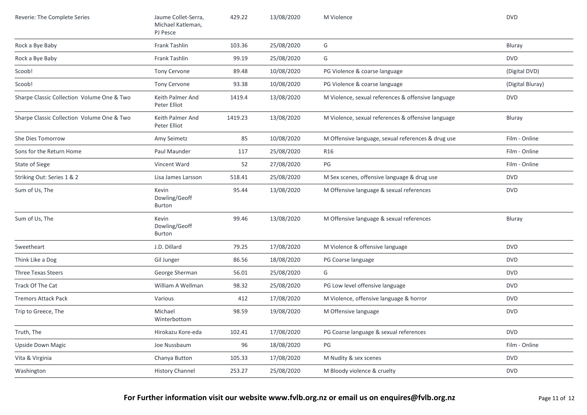| Reverie: The Complete Series               | Jaume Collet-Serra,<br>Michael Katleman,<br>PJ Pesce | 429.22  | 13/08/2020 | M Violence                                         | <b>DVD</b>       |
|--------------------------------------------|------------------------------------------------------|---------|------------|----------------------------------------------------|------------------|
| Rock a Bye Baby                            | Frank Tashlin                                        | 103.36  | 25/08/2020 | G                                                  | Bluray           |
| Rock a Bye Baby                            | Frank Tashlin                                        | 99.19   | 25/08/2020 | G                                                  | <b>DVD</b>       |
| Scoob!                                     | Tony Cervone                                         | 89.48   | 10/08/2020 | PG Violence & coarse language                      | (Digital DVD)    |
| Scoob!                                     | Tony Cervone                                         | 93.38   | 10/08/2020 | PG Violence & coarse language                      | (Digital Bluray) |
| Sharpe Classic Collection Volume One & Two | Keith Palmer And<br>Peter Elliot                     | 1419.4  | 13/08/2020 | M Violence, sexual references & offensive language | <b>DVD</b>       |
| Sharpe Classic Collection Volume One & Two | Keith Palmer And<br>Peter Elliot                     | 1419.23 | 13/08/2020 | M Violence, sexual references & offensive language | Bluray           |
| She Dies Tomorrow                          | Amy Seimetz                                          | 85      | 10/08/2020 | M Offensive language, sexual references & drug use | Film - Online    |
| Sons for the Return Home                   | Paul Maunder                                         | 117     | 25/08/2020 | <b>R16</b>                                         | Film - Online    |
| State of Siege                             | Vincent Ward                                         | 52      | 27/08/2020 | PG                                                 | Film - Online    |
| Striking Out: Series 1 & 2                 | Lisa James Larsson                                   | 518.41  | 25/08/2020 | M Sex scenes, offensive language & drug use        | <b>DVD</b>       |
| Sum of Us, The                             | Kevin<br>Dowling/Geoff<br>Burton                     | 95.44   | 13/08/2020 | M Offensive language & sexual references           | <b>DVD</b>       |
| Sum of Us, The                             | Kevin<br>Dowling/Geoff<br><b>Burton</b>              | 99.46   | 13/08/2020 | M Offensive language & sexual references           | Bluray           |
| Sweetheart                                 | J.D. Dillard                                         | 79.25   | 17/08/2020 | M Violence & offensive language                    | <b>DVD</b>       |
| Think Like a Dog                           | Gil Junger                                           | 86.56   | 18/08/2020 | PG Coarse language                                 | <b>DVD</b>       |
| Three Texas Steers                         | George Sherman                                       | 56.01   | 25/08/2020 | G                                                  | <b>DVD</b>       |
| Track Of The Cat                           | William A Wellman                                    | 98.32   | 25/08/2020 | PG Low level offensive language                    | <b>DVD</b>       |
| <b>Tremors Attack Pack</b>                 | Various                                              | 412     | 17/08/2020 | M Violence, offensive language & horror            | <b>DVD</b>       |
| Trip to Greece, The                        | Michael<br>Winterbottom                              | 98.59   | 19/08/2020 | M Offensive language                               | <b>DVD</b>       |
| Truth, The                                 | Hirokazu Kore-eda                                    | 102.41  | 17/08/2020 | PG Coarse language & sexual references             | <b>DVD</b>       |
| <b>Upside Down Magic</b>                   | Joe Nussbaum                                         | 96      | 18/08/2020 | PG                                                 | Film - Online    |
| Vita & Virginia                            | Chanya Button                                        | 105.33  | 17/08/2020 | M Nudity & sex scenes                              | <b>DVD</b>       |
| Washington                                 | <b>History Channel</b>                               | 253.27  | 25/08/2020 | M Bloody violence & cruelty                        | <b>DVD</b>       |